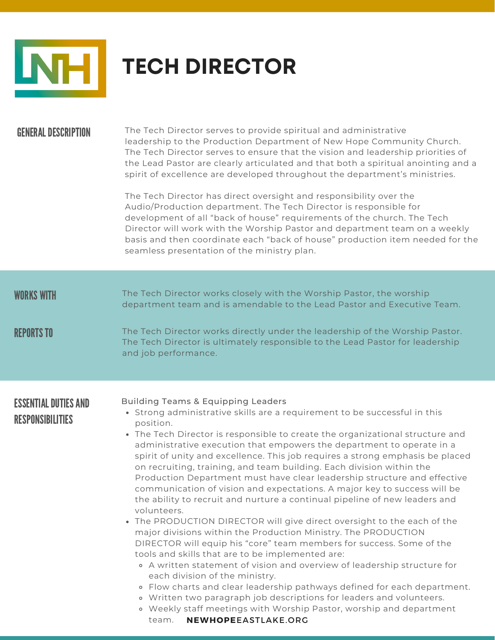

## **TECH DIRECTOR**

### GENERALDESCRIPTION

The Tech Director serves to provide spiritual and administrative leadership to the Production Department of New Hope Community Church. The Tech Director serves to ensure that the vision and leadership priorities of the Lead Pastor are clearly articulated and that both a spiritual anointing and a spirit of excellence are developed throughout the department's ministries.

The Tech Director has direct oversight and responsibility over the Audio/Production department. The Tech Director is responsible for development of all "back of house" requirements of the church. The Tech Director will work with the Worship Pastor and department team on a weekly basis and then coordinate each "back of house" production item needed for the seamless presentation of the ministry plan.

| <b>WORKS WITH</b><br><b>REPORTS TO</b>                 | The Tech Director works closely with the Worship Pastor, the worship<br>department team and is amendable to the Lead Pastor and Executive Team.<br>The Tech Director works directly under the leadership of the Worship Pastor.<br>The Tech Director is ultimately responsible to the Lead Pastor for leadership<br>and job performance.                                                                                                                                                                                                                                                                                                                                                                                                                                                                                                                                                                                                                                                                                                                                                                                                                                                                                                                                                                                                                          |
|--------------------------------------------------------|-------------------------------------------------------------------------------------------------------------------------------------------------------------------------------------------------------------------------------------------------------------------------------------------------------------------------------------------------------------------------------------------------------------------------------------------------------------------------------------------------------------------------------------------------------------------------------------------------------------------------------------------------------------------------------------------------------------------------------------------------------------------------------------------------------------------------------------------------------------------------------------------------------------------------------------------------------------------------------------------------------------------------------------------------------------------------------------------------------------------------------------------------------------------------------------------------------------------------------------------------------------------------------------------------------------------------------------------------------------------|
| <b>ESSENTIAL DUTIES AND</b><br><b>RESPONSIBILITIES</b> | <b>Building Teams &amp; Equipping Leaders</b><br>• Strong administrative skills are a requirement to be successful in this<br>position.<br>• The Tech Director is responsible to create the organizational structure and<br>administrative execution that empowers the department to operate in a<br>spirit of unity and excellence. This job requires a strong emphasis be placed<br>on recruiting, training, and team building. Each division within the<br>Production Department must have clear leadership structure and effective<br>communication of vision and expectations. A major key to success will be<br>the ability to recruit and nurture a continual pipeline of new leaders and<br>volunteers.<br>• The PRODUCTION DIRECTOR will give direct oversight to the each of the<br>major divisions within the Production Ministry. The PRODUCTION<br>DIRECTOR will equip his "core" team members for success. Some of the<br>tools and skills that are to be implemented are:<br>• A written statement of vision and overview of leadership structure for<br>each division of the ministry.<br>• Flow charts and clear leadership pathways defined for each department.<br>o Written two paragraph job descriptions for leaders and volunteers.<br>. Weekly staff meetings with Worship Pastor, worship and department<br>NEWHOPEEASTLAKE.ORG<br>team. |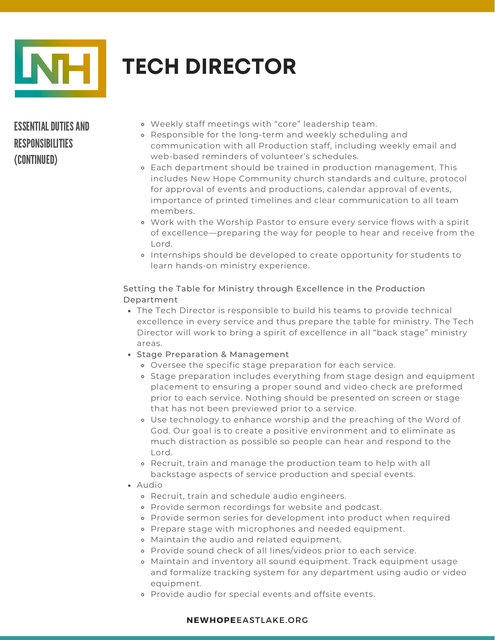

# **TECH DIRECTOR**

### ESSENTIAL DUTIES AND RESPONSIBILITIES (CONTINUED)

- Weekly staff meetings with "core" leadership team.
- Responsible for the long-term and weekly scheduling and communication with all Production staff, including weekly email and web-based reminders of volunteer's schedules.
- Each department should be trained in production management. This includes New Hope Community church standards and culture, protocol for approval of events and productions, calendar approval of events, importance of printed timelines and clear communication to all team members.
- Work with the Worship Pastor to ensure every service flows with a spirit of excellence—preparing the way for people to hear and receive from the Lord.
- Internships should be developed to create opportunity for students to learn hands-on ministry experience.

#### Setting the Table for Ministry through Excellence in the Production Department

- The Tech Director is responsible to build his teams to provide technical excellence in every service and thus prepare the table for ministry. The Tech Director will work to bring a spirit of excellence in all "back stage" ministry areas.
- Stage Preparation & Management
	- Oversee the specific stage preparation for each service.
	- o Stage preparation includes everything from stage design and equipment placement to ensuring a proper sound and video check are preformed prior to each service. Nothing should be presented on screen or stage that has not been previewed prior to a service.
	- Use technology to enhance worship and the preaching of the Word of God. Our goal is to create a positive environment and to eliminate as much distraction as possible so people can hear and respond to the Lord.
	- Recruit, train and manage the production team to help with all backstage aspects of service production and special events.
- Audio
	- Recruit, train and schedule audio engineers.
	- Provide sermon recordings for website and podcast.
	- Provide sermon series for development into product when required
	- Prepare stage with microphones and needed equipment.
	- Maintain the audio and related equipment.
	- Provide sound check of all lines/videos prior to each service.
	- Maintain and inventory all sound equipment. Track equipment usage and formalize tracking system for any department using audio or video equipment.
	- Provide audio for special events and offsite events.

#### **NEWHOPE**EASTLAKE.ORG